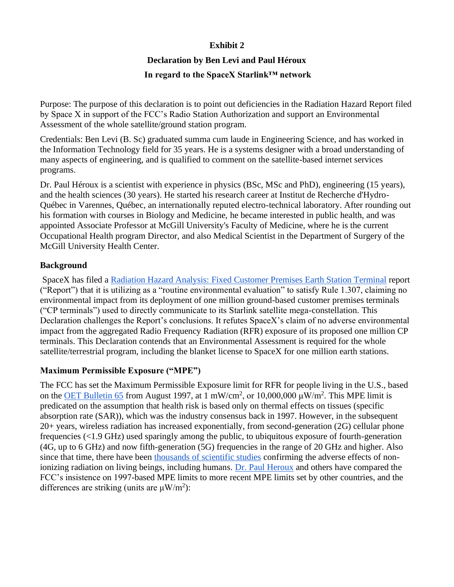### **Exhibit 2**

# **Declaration by Ben Levi and Paul Héroux**

# **In regard to the SpaceX Starlink™ network**

Purpose: The purpose of this declaration is to point out deficiencies in the Radiation Hazard Report filed by Space X in support of the FCC's Radio Station Authorization and support an Environmental Assessment of the whole satellite/ground station program.

Credentials: Ben Levi (B. Sc) graduated summa cum laude in Engineering Science, and has worked in the Information Technology field for 35 years. He is a systems designer with a broad understanding of many aspects of engineering, and is qualified to comment on the satellite-based internet services programs.

Dr. Paul Héroux is a scientist with experience in physics (BSc, MSc and PhD), engineering (15 years), and the health sciences (30 years). He started his research career at Institut de Recherche d'Hydro-Québec in Varennes, Québec, an internationally reputed electro-technical laboratory. After rounding out his formation with courses in Biology and Medicine, he became interested in public health, and was appointed Associate Professor at McGill University's Faculty of Medicine, where he is the current Occupational Health program Director, and also Medical Scientist in the Department of Surgery of the McGill University Health Center.

# **Background**

SpaceX has filed a Radiation Hazard Analysis: [Fixed Customer Premises Earth Station Terminal](https://drive.google.com/open?id=1lGriCbdMB9DbTA2AMUIurrlIPemq45ro) report ("Report") that it is utilizing as a "routine environmental evaluation" to satisfy Rule 1.307, claiming no environmental impact from its deployment of one million ground-based customer premises terminals ("CP terminals") used to directly communicate to its Starlink satellite mega-constellation. This Declaration challenges the Report's conclusions. It refutes SpaceX's claim of no adverse environmental impact from the aggregated Radio Frequency Radiation (RFR) exposure of its proposed one million CP terminals. This Declaration contends that an Environmental Assessment is required for the whole satellite/terrestrial program, including the blanket license to SpaceX for one million earth stations.

# **Maximum Permissible Exposure ("MPE")**

The FCC has set the Maximum Permissible Exposure limit for RFR for people living in the U.S., based on the **OET Bulletin 65** from August 1997, at 1 mW/cm<sup>2</sup>, or 10,000,000  $\mu$ W/m<sup>2</sup>. This MPE limit is predicated on the assumption that health risk is based only on thermal effects on tissues (specific absorption rate (SAR)), which was the industry consensus back in 1997. However, in the subsequent 20+ years, wireless radiation has increased exponentially, from second-generation (2G) cellular phone frequencies (<1.9 GHz) used sparingly among the public, to ubiquitous exposure of fourth-generation (4G, up to 6 GHz) and now fifth-generation (5G) frequencies in the range of 20 GHz and higher. Also since that time, there have been [thousands of scientific studies](https://bioinitiative.org/) confirming the adverse effects of nonionizing radiation on living beings, including humans. [Dr. Paul Heroux](https://drive.google.com/open?id=1Gr6NFhdDBsyQqvUCSmPP1n4DnFWyZbNb) and others have compared the FCC's insistence on 1997-based MPE limits to more recent MPE limits set by other countries, and the differences are striking (units are  $\mu$ W/m<sup>2</sup>):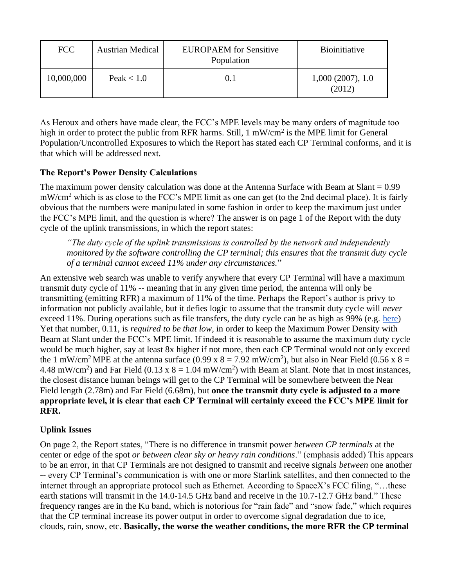| <b>FCC</b> | <b>Austrian Medical</b> | <b>EUROPAEM</b> for Sensitive<br>Population | <b>Bioinitiative</b>       |
|------------|-------------------------|---------------------------------------------|----------------------------|
| 10,000,000 | Peak $< 1.0$            |                                             | 1,000(2007), 1.0<br>(2012) |

As Heroux and others have made clear, the FCC's MPE levels may be many orders of magnitude too high in order to protect the public from RFR harms. Still, 1 mW/cm<sup>2</sup> is the MPE limit for General Population/Uncontrolled Exposures to which the Report has stated each CP Terminal conforms, and it is that which will be addressed next.

#### **The Report's Power Density Calculations**

The maximum power density calculation was done at the Antenna Surface with Beam at Slant  $= 0.99$ mW/cm<sup>2</sup> which is as close to the FCC's MPE limit as one can get (to the 2nd decimal place). It is fairly obvious that the numbers were manipulated in some fashion in order to keep the maximum just under the FCC's MPE limit, and the question is where? The answer is on page 1 of the Report with the duty cycle of the uplink transmissions, in which the report states:

*"The duty cycle of the uplink transmissions is controlled by the network and independently monitored by the software controlling the CP terminal; this ensures that the transmit duty cycle of a terminal cannot exceed 11% under any circumstances.*"

An extensive web search was unable to verify anywhere that every CP Terminal will have a maximum transmit duty cycle of 11% -- meaning that in any given time period, the antenna will only be transmitting (emitting RFR) a maximum of 11% of the time. Perhaps the Report's author is privy to information not publicly available, but it defies logic to assume that the transmit duty cycle will *never* exceed 11%. During operations such as file transfers, the duty cycle can be as high as 99% (e.g. [here\)](https://drive.google.com/open?id=1aW_uVsv3CaBwCLGHbUCwAJSAJNOqLNlq) Yet that number, 0.11, is *required to be that low,* in order to keep the Maximum Power Density with Beam at Slant under the FCC's MPE limit. If indeed it is reasonable to assume the maximum duty cycle would be much higher, say at least 8x higher if not more, then each CP Terminal would not only exceed the 1 mW/cm<sup>2</sup> MPE at the antenna surface (0.99 x  $8 = 7.92$  mW/cm<sup>2</sup>), but also in Near Field (0.56 x  $8 =$ 4.48 mW/cm<sup>2</sup>) and Far Field (0.13 x  $8 = 1.04$  mW/cm<sup>2</sup>) with Beam at Slant. Note that in most instances, the closest distance human beings will get to the CP Terminal will be somewhere between the Near Field length (2.78m) and Far Field (6.68m), but **once the transmit duty cycle is adjusted to a more appropriate level, it is clear that each CP Terminal will certainly exceed the FCC's MPE limit for RFR.**

# **Uplink Issues**

On page 2, the Report states, "There is no difference in transmit power *between CP terminals* at the center or edge of the spot *or between clear sky or heavy rain conditions*." (emphasis added) This appears to be an error, in that CP Terminals are not designed to transmit and receive signals *between* one another -- every CP Terminal's communication is with one or more Starlink satellites, and then connected to the internet through an appropriate protocol such as Ethernet. According to SpaceX's FCC filing, "…these earth stations will transmit in the 14.0-14.5 GHz band and receive in the 10.7-12.7 GHz band." These frequency ranges are in the Ku band, which is notorious for "rain fade" and "snow fade," which requires that the CP terminal increase its power output in order to overcome signal degradation due to ice, clouds, rain, snow, etc. **Basically, the worse the weather conditions, the more RFR the CP terminal**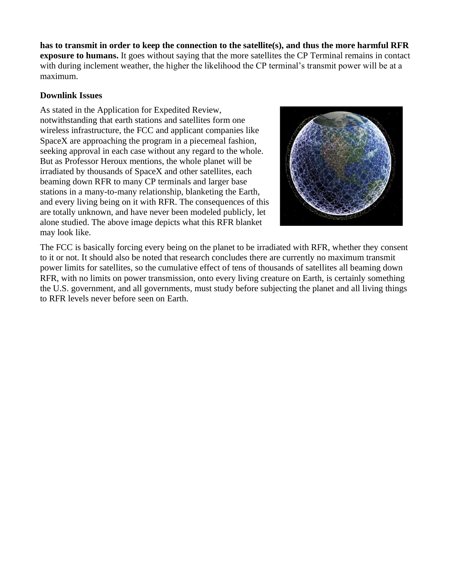**has to transmit in order to keep the connection to the satellite(s), and thus the more harmful RFR exposure to humans.** It goes without saying that the more satellites the CP Terminal remains in contact with during inclement weather, the higher the likelihood the CP terminal's transmit power will be at a maximum.

#### **Downlink Issues**

As stated in the Application for Expedited Review, notwithstanding that earth stations and satellites form one wireless infrastructure, the FCC and applicant companies like SpaceX are approaching the program in a piecemeal fashion, seeking approval in each case without any regard to the whole. But as Professor Heroux mentions, the whole planet will be irradiated by thousands of SpaceX and other satellites, each beaming down RFR to many CP terminals and larger base stations in a many-to-many relationship, blanketing the Earth, and every living being on it with RFR. The consequences of this are totally unknown, and have never been modeled publicly, let alone studied. The above image depicts what this RFR blanket may look like.



The FCC is basically forcing every being on the planet to be irradiated with RFR, whether they consent to it or not. It should also be noted that research concludes there are currently no maximum transmit power limits for satellites, so the cumulative effect of tens of thousands of satellites all beaming down RFR, with no limits on power transmission, onto every living creature on Earth, is certainly something the U.S. government, and all governments, must study before subjecting the planet and all living things to RFR levels never before seen on Earth.